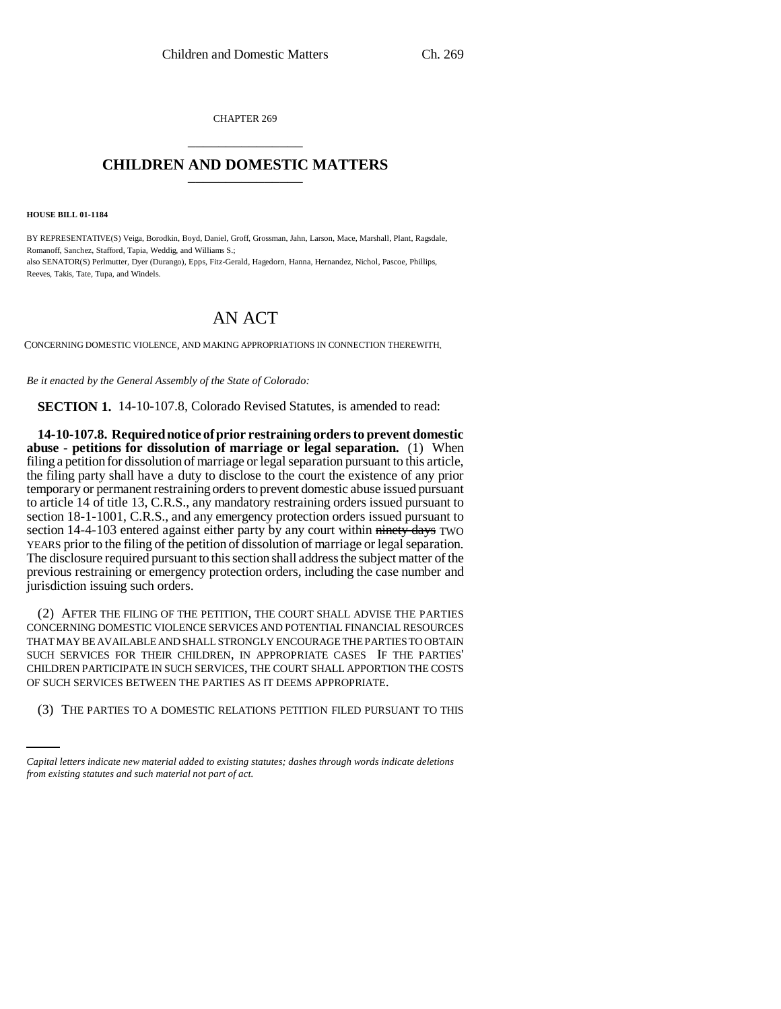CHAPTER 269 \_\_\_\_\_\_\_\_\_\_\_\_\_\_\_

## **CHILDREN AND DOMESTIC MATTERS** \_\_\_\_\_\_\_\_\_\_\_\_\_\_\_

**HOUSE BILL 01-1184**

BY REPRESENTATIVE(S) Veiga, Borodkin, Boyd, Daniel, Groff, Grossman, Jahn, Larson, Mace, Marshall, Plant, Ragsdale, Romanoff, Sanchez, Stafford, Tapia, Weddig, and Williams S.; also SENATOR(S) Perlmutter, Dyer (Durango), Epps, Fitz-Gerald, Hagedorn, Hanna, Hernandez, Nichol, Pascoe, Phillips, Reeves, Takis, Tate, Tupa, and Windels.

## AN ACT

CONCERNING DOMESTIC VIOLENCE, AND MAKING APPROPRIATIONS IN CONNECTION THEREWITH.

*Be it enacted by the General Assembly of the State of Colorado:*

**SECTION 1.** 14-10-107.8, Colorado Revised Statutes, is amended to read:

**14-10-107.8. Required notice of prior restraining orders to prevent domestic abuse - petitions for dissolution of marriage or legal separation.** (1) When filing a petition for dissolution of marriage or legal separation pursuant to this article, the filing party shall have a duty to disclose to the court the existence of any prior temporary or permanent restraining orders to prevent domestic abuse issued pursuant to article 14 of title 13, C.R.S., any mandatory restraining orders issued pursuant to section 18-1-1001, C.R.S., and any emergency protection orders issued pursuant to section 14-4-103 entered against either party by any court within ninety days TWO YEARS prior to the filing of the petition of dissolution of marriage or legal separation. The disclosure required pursuant to this section shall address the subject matter of the previous restraining or emergency protection orders, including the case number and jurisdiction issuing such orders.

OF SUCH SERVICES BETWEEN THE PARTIES AS IT DEEMS APPROPRIATE. (2) AFTER THE FILING OF THE PETITION, THE COURT SHALL ADVISE THE PARTIES CONCERNING DOMESTIC VIOLENCE SERVICES AND POTENTIAL FINANCIAL RESOURCES THAT MAY BE AVAILABLE AND SHALL STRONGLY ENCOURAGE THE PARTIES TO OBTAIN SUCH SERVICES FOR THEIR CHILDREN, IN APPROPRIATE CASES IF THE PARTIES' CHILDREN PARTICIPATE IN SUCH SERVICES, THE COURT SHALL APPORTION THE COSTS

(3) THE PARTIES TO A DOMESTIC RELATIONS PETITION FILED PURSUANT TO THIS

*Capital letters indicate new material added to existing statutes; dashes through words indicate deletions from existing statutes and such material not part of act.*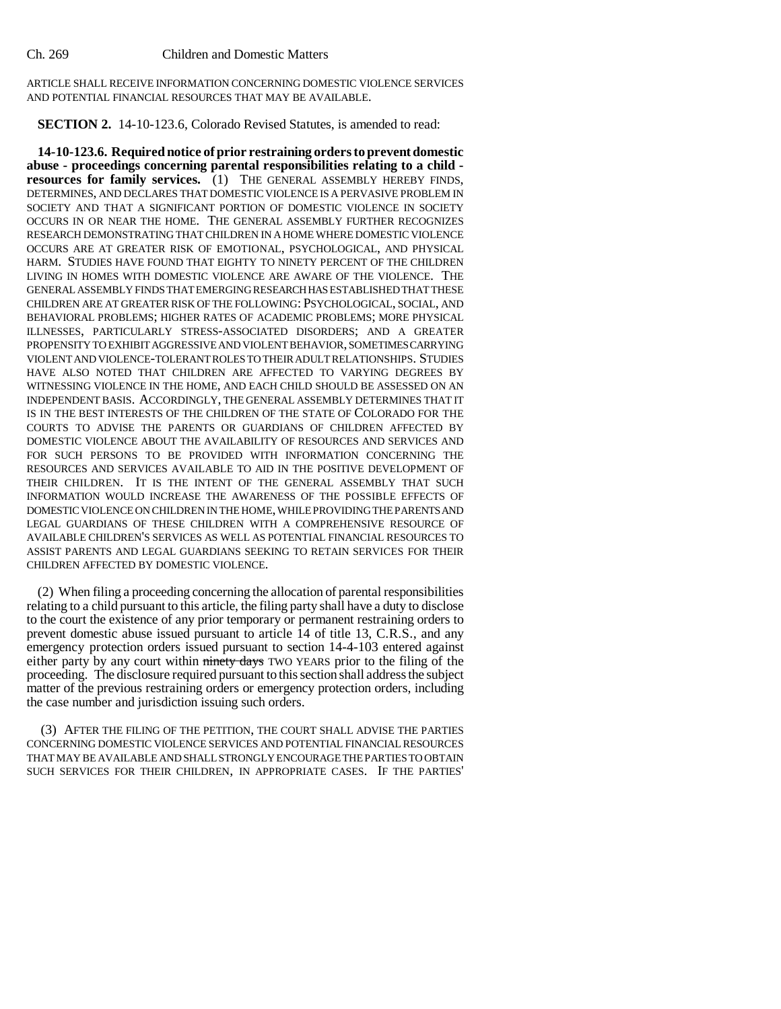ARTICLE SHALL RECEIVE INFORMATION CONCERNING DOMESTIC VIOLENCE SERVICES AND POTENTIAL FINANCIAL RESOURCES THAT MAY BE AVAILABLE.

**SECTION 2.** 14-10-123.6, Colorado Revised Statutes, is amended to read:

**14-10-123.6. Required notice of prior restraining orders to prevent domestic abuse - proceedings concerning parental responsibilities relating to a child resources for family services.** (1) THE GENERAL ASSEMBLY HEREBY FINDS, DETERMINES, AND DECLARES THAT DOMESTIC VIOLENCE IS A PERVASIVE PROBLEM IN SOCIETY AND THAT A SIGNIFICANT PORTION OF DOMESTIC VIOLENCE IN SOCIETY OCCURS IN OR NEAR THE HOME. THE GENERAL ASSEMBLY FURTHER RECOGNIZES RESEARCH DEMONSTRATING THAT CHILDREN IN A HOME WHERE DOMESTIC VIOLENCE OCCURS ARE AT GREATER RISK OF EMOTIONAL, PSYCHOLOGICAL, AND PHYSICAL HARM. STUDIES HAVE FOUND THAT EIGHTY TO NINETY PERCENT OF THE CHILDREN LIVING IN HOMES WITH DOMESTIC VIOLENCE ARE AWARE OF THE VIOLENCE. THE GENERAL ASSEMBLY FINDS THAT EMERGING RESEARCH HAS ESTABLISHED THAT THESE CHILDREN ARE AT GREATER RISK OF THE FOLLOWING: PSYCHOLOGICAL, SOCIAL, AND BEHAVIORAL PROBLEMS; HIGHER RATES OF ACADEMIC PROBLEMS; MORE PHYSICAL ILLNESSES, PARTICULARLY STRESS-ASSOCIATED DISORDERS; AND A GREATER PROPENSITY TO EXHIBIT AGGRESSIVE AND VIOLENT BEHAVIOR, SOMETIMES CARRYING VIOLENT AND VIOLENCE-TOLERANT ROLES TO THEIR ADULT RELATIONSHIPS. STUDIES HAVE ALSO NOTED THAT CHILDREN ARE AFFECTED TO VARYING DEGREES BY WITNESSING VIOLENCE IN THE HOME, AND EACH CHILD SHOULD BE ASSESSED ON AN INDEPENDENT BASIS. ACCORDINGLY, THE GENERAL ASSEMBLY DETERMINES THAT IT IS IN THE BEST INTERESTS OF THE CHILDREN OF THE STATE OF COLORADO FOR THE COURTS TO ADVISE THE PARENTS OR GUARDIANS OF CHILDREN AFFECTED BY DOMESTIC VIOLENCE ABOUT THE AVAILABILITY OF RESOURCES AND SERVICES AND FOR SUCH PERSONS TO BE PROVIDED WITH INFORMATION CONCERNING THE RESOURCES AND SERVICES AVAILABLE TO AID IN THE POSITIVE DEVELOPMENT OF THEIR CHILDREN. IT IS THE INTENT OF THE GENERAL ASSEMBLY THAT SUCH INFORMATION WOULD INCREASE THE AWARENESS OF THE POSSIBLE EFFECTS OF DOMESTIC VIOLENCE ON CHILDREN IN THE HOME, WHILE PROVIDING THE PARENTS AND LEGAL GUARDIANS OF THESE CHILDREN WITH A COMPREHENSIVE RESOURCE OF AVAILABLE CHILDREN'S SERVICES AS WELL AS POTENTIAL FINANCIAL RESOURCES TO ASSIST PARENTS AND LEGAL GUARDIANS SEEKING TO RETAIN SERVICES FOR THEIR CHILDREN AFFECTED BY DOMESTIC VIOLENCE.

(2) When filing a proceeding concerning the allocation of parental responsibilities relating to a child pursuant to this article, the filing party shall have a duty to disclose to the court the existence of any prior temporary or permanent restraining orders to prevent domestic abuse issued pursuant to article 14 of title 13, C.R.S., and any emergency protection orders issued pursuant to section 14-4-103 entered against either party by any court within ninety days TWO YEARS prior to the filing of the proceeding. The disclosure required pursuant to this section shall address the subject matter of the previous restraining orders or emergency protection orders, including the case number and jurisdiction issuing such orders.

(3) AFTER THE FILING OF THE PETITION, THE COURT SHALL ADVISE THE PARTIES CONCERNING DOMESTIC VIOLENCE SERVICES AND POTENTIAL FINANCIAL RESOURCES THAT MAY BE AVAILABLE AND SHALL STRONGLY ENCOURAGE THE PARTIES TO OBTAIN SUCH SERVICES FOR THEIR CHILDREN, IN APPROPRIATE CASES. IF THE PARTIES'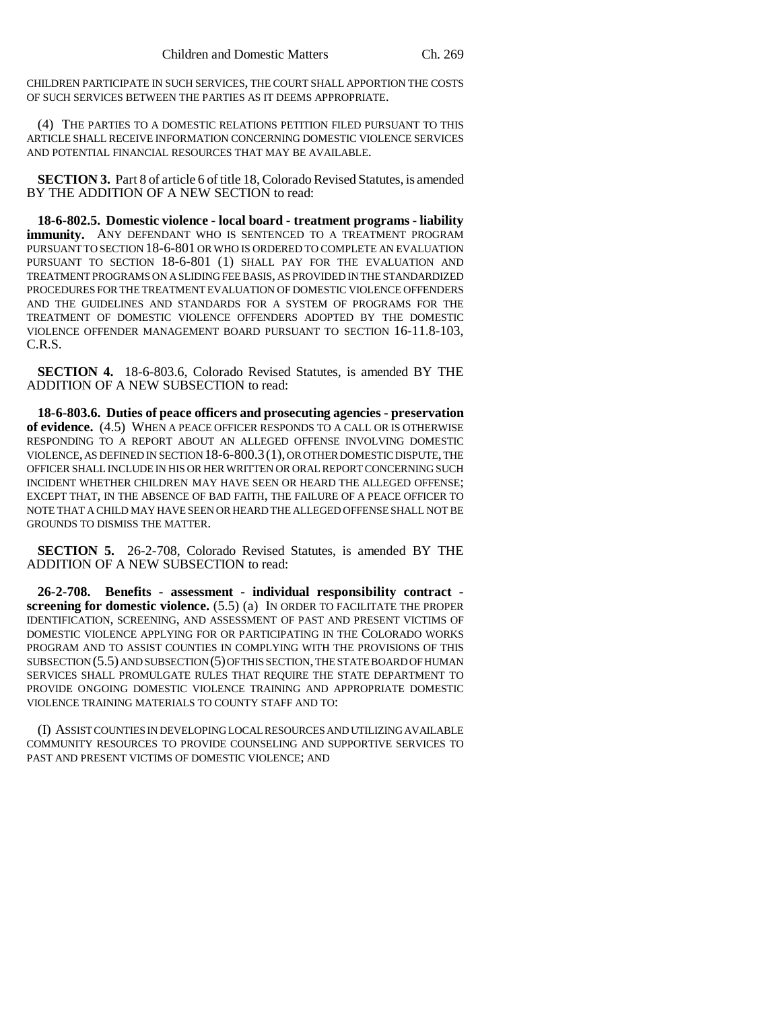CHILDREN PARTICIPATE IN SUCH SERVICES, THE COURT SHALL APPORTION THE COSTS OF SUCH SERVICES BETWEEN THE PARTIES AS IT DEEMS APPROPRIATE.

(4) THE PARTIES TO A DOMESTIC RELATIONS PETITION FILED PURSUANT TO THIS ARTICLE SHALL RECEIVE INFORMATION CONCERNING DOMESTIC VIOLENCE SERVICES AND POTENTIAL FINANCIAL RESOURCES THAT MAY BE AVAILABLE.

**SECTION 3.** Part 8 of article 6 of title 18, Colorado Revised Statutes, is amended BY THE ADDITION OF A NEW SECTION to read:

**18-6-802.5. Domestic violence - local board - treatment programs - liability immunity.** ANY DEFENDANT WHO IS SENTENCED TO A TREATMENT PROGRAM PURSUANT TO SECTION 18-6-801 OR WHO IS ORDERED TO COMPLETE AN EVALUATION PURSUANT TO SECTION 18-6-801 (1) SHALL PAY FOR THE EVALUATION AND TREATMENT PROGRAMS ON A SLIDING FEE BASIS, AS PROVIDED IN THE STANDARDIZED PROCEDURES FOR THE TREATMENT EVALUATION OF DOMESTIC VIOLENCE OFFENDERS AND THE GUIDELINES AND STANDARDS FOR A SYSTEM OF PROGRAMS FOR THE TREATMENT OF DOMESTIC VIOLENCE OFFENDERS ADOPTED BY THE DOMESTIC VIOLENCE OFFENDER MANAGEMENT BOARD PURSUANT TO SECTION 16-11.8-103, C.R.S.

**SECTION 4.** 18-6-803.6, Colorado Revised Statutes, is amended BY THE ADDITION OF A NEW SUBSECTION to read:

**18-6-803.6. Duties of peace officers and prosecuting agencies - preservation of evidence.** (4.5) WHEN A PEACE OFFICER RESPONDS TO A CALL OR IS OTHERWISE RESPONDING TO A REPORT ABOUT AN ALLEGED OFFENSE INVOLVING DOMESTIC VIOLENCE, AS DEFINED IN SECTION 18-6-800.3(1), OR OTHER DOMESTIC DISPUTE, THE OFFICER SHALL INCLUDE IN HIS OR HER WRITTEN OR ORAL REPORT CONCERNING SUCH INCIDENT WHETHER CHILDREN MAY HAVE SEEN OR HEARD THE ALLEGED OFFENSE; EXCEPT THAT, IN THE ABSENCE OF BAD FAITH, THE FAILURE OF A PEACE OFFICER TO NOTE THAT A CHILD MAY HAVE SEEN OR HEARD THE ALLEGED OFFENSE SHALL NOT BE GROUNDS TO DISMISS THE MATTER.

**SECTION 5.** 26-2-708, Colorado Revised Statutes, is amended BY THE ADDITION OF A NEW SUBSECTION to read:

**26-2-708. Benefits - assessment - individual responsibility contract screening for domestic violence.** (5.5) (a) IN ORDER TO FACILITATE THE PROPER IDENTIFICATION, SCREENING, AND ASSESSMENT OF PAST AND PRESENT VICTIMS OF DOMESTIC VIOLENCE APPLYING FOR OR PARTICIPATING IN THE COLORADO WORKS PROGRAM AND TO ASSIST COUNTIES IN COMPLYING WITH THE PROVISIONS OF THIS SUBSECTION (5.5) AND SUBSECTION (5) OF THIS SECTION, THE STATE BOARD OF HUMAN SERVICES SHALL PROMULGATE RULES THAT REQUIRE THE STATE DEPARTMENT TO PROVIDE ONGOING DOMESTIC VIOLENCE TRAINING AND APPROPRIATE DOMESTIC VIOLENCE TRAINING MATERIALS TO COUNTY STAFF AND TO:

(I) ASSIST COUNTIES IN DEVELOPING LOCAL RESOURCES AND UTILIZING AVAILABLE COMMUNITY RESOURCES TO PROVIDE COUNSELING AND SUPPORTIVE SERVICES TO PAST AND PRESENT VICTIMS OF DOMESTIC VIOLENCE; AND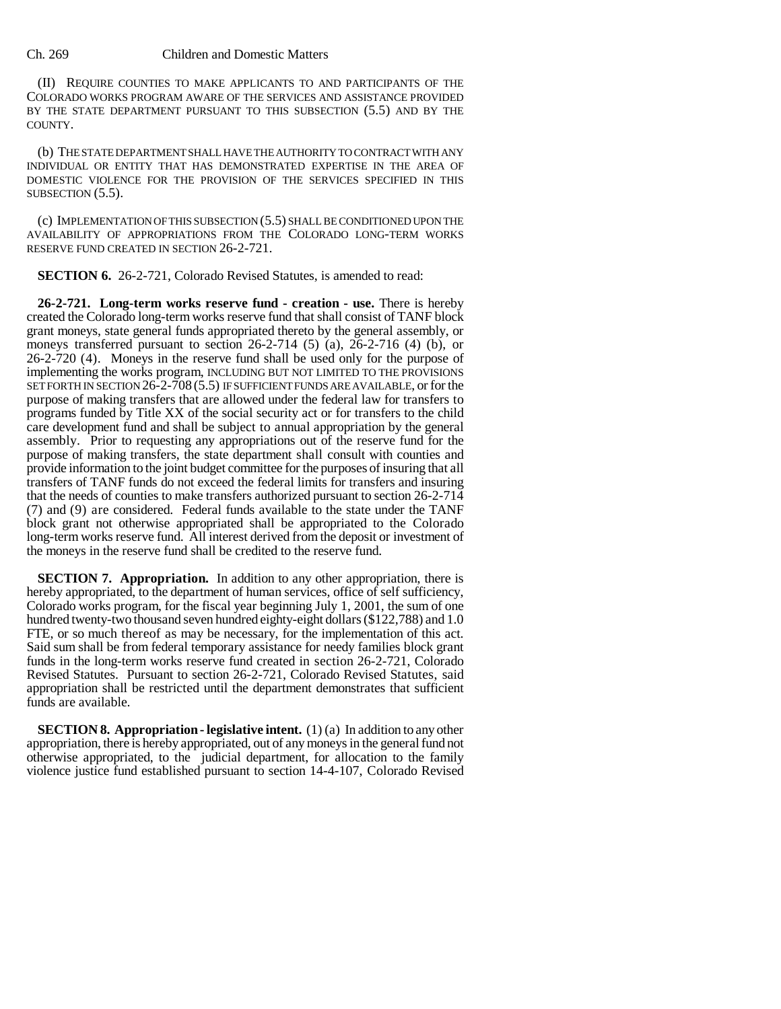## Ch. 269 Children and Domestic Matters

(II) REQUIRE COUNTIES TO MAKE APPLICANTS TO AND PARTICIPANTS OF THE COLORADO WORKS PROGRAM AWARE OF THE SERVICES AND ASSISTANCE PROVIDED BY THE STATE DEPARTMENT PURSUANT TO THIS SUBSECTION (5.5) AND BY THE COUNTY.

(b) THE STATE DEPARTMENT SHALL HAVE THE AUTHORITY TO CONTRACT WITH ANY INDIVIDUAL OR ENTITY THAT HAS DEMONSTRATED EXPERTISE IN THE AREA OF DOMESTIC VIOLENCE FOR THE PROVISION OF THE SERVICES SPECIFIED IN THIS SUBSECTION (5.5).

(c) IMPLEMENTATION OF THIS SUBSECTION (5.5) SHALL BE CONDITIONED UPON THE AVAILABILITY OF APPROPRIATIONS FROM THE COLORADO LONG-TERM WORKS RESERVE FUND CREATED IN SECTION 26-2-721.

**SECTION 6.** 26-2-721, Colorado Revised Statutes, is amended to read:

**26-2-721. Long-term works reserve fund - creation - use.** There is hereby created the Colorado long-term works reserve fund that shall consist of TANF block grant moneys, state general funds appropriated thereto by the general assembly, or moneys transferred pursuant to section 26-2-714 (5) (a), 26-2-716 (4) (b), or 26-2-720 (4). Moneys in the reserve fund shall be used only for the purpose of implementing the works program, INCLUDING BUT NOT LIMITED TO THE PROVISIONS SET FORTH IN SECTION 26-2-708 (5.5) IF SUFFICIENT FUNDS ARE AVAILABLE, or for the purpose of making transfers that are allowed under the federal law for transfers to programs funded by Title XX of the social security act or for transfers to the child care development fund and shall be subject to annual appropriation by the general assembly. Prior to requesting any appropriations out of the reserve fund for the purpose of making transfers, the state department shall consult with counties and provide information to the joint budget committee for the purposes of insuring that all transfers of TANF funds do not exceed the federal limits for transfers and insuring that the needs of counties to make transfers authorized pursuant to section 26-2-714 (7) and (9) are considered. Federal funds available to the state under the TANF block grant not otherwise appropriated shall be appropriated to the Colorado long-term works reserve fund. All interest derived from the deposit or investment of the moneys in the reserve fund shall be credited to the reserve fund.

**SECTION 7. Appropriation.** In addition to any other appropriation, there is hereby appropriated, to the department of human services, office of self sufficiency, Colorado works program, for the fiscal year beginning July 1, 2001, the sum of one hundred twenty-two thousand seven hundred eighty-eight dollars (\$122,788) and 1.0 FTE, or so much thereof as may be necessary, for the implementation of this act. Said sum shall be from federal temporary assistance for needy families block grant funds in the long-term works reserve fund created in section 26-2-721, Colorado Revised Statutes. Pursuant to section 26-2-721, Colorado Revised Statutes, said appropriation shall be restricted until the department demonstrates that sufficient funds are available.

**SECTION 8. Appropriation - legislative intent.** (1) (a) In addition to any other appropriation, there is hereby appropriated, out of any moneys in the general fund not otherwise appropriated, to the judicial department, for allocation to the family violence justice fund established pursuant to section 14-4-107, Colorado Revised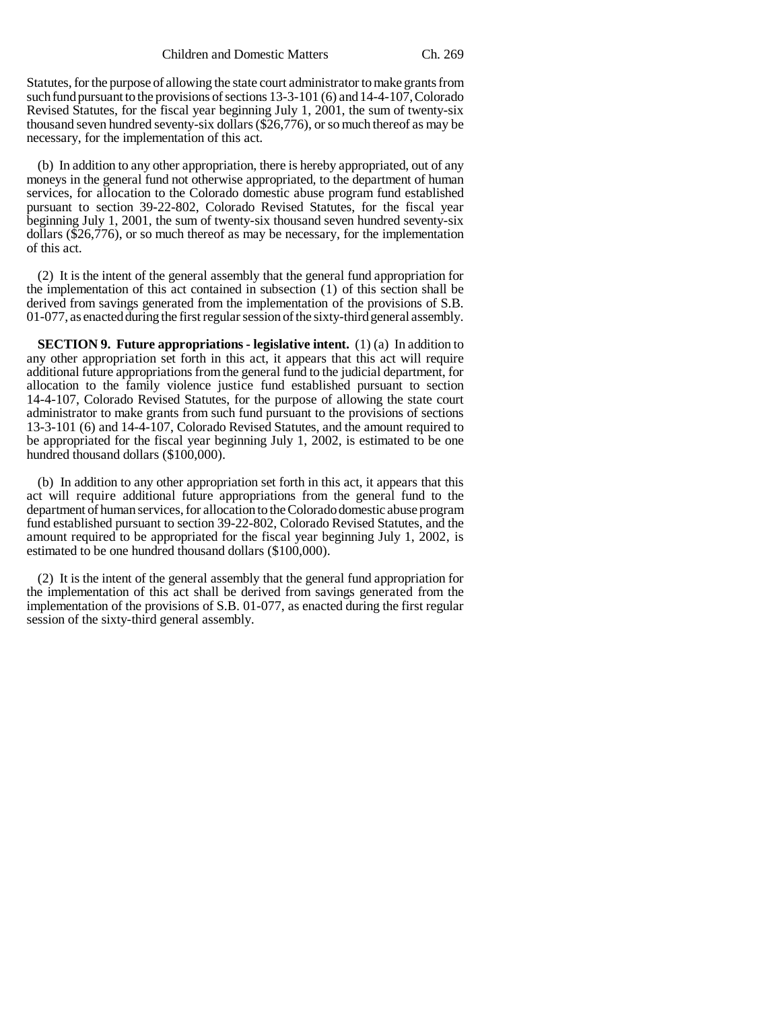Statutes, for the purpose of allowing the state court administrator to make grants from such fund pursuant to the provisions of sections 13-3-101 (6) and 14-4-107, Colorado Revised Statutes, for the fiscal year beginning July 1, 2001, the sum of twenty-six thousand seven hundred seventy-six dollars (\$26,776), or so much thereof as may be necessary, for the implementation of this act.

(b) In addition to any other appropriation, there is hereby appropriated, out of any moneys in the general fund not otherwise appropriated, to the department of human services, for allocation to the Colorado domestic abuse program fund established pursuant to section 39-22-802, Colorado Revised Statutes, for the fiscal year beginning July 1, 2001, the sum of twenty-six thousand seven hundred seventy-six dollars  $(\$26,776)$ , or so much thereof as may be necessary, for the implementation of this act.

(2) It is the intent of the general assembly that the general fund appropriation for the implementation of this act contained in subsection (1) of this section shall be derived from savings generated from the implementation of the provisions of S.B. 01-077, as enacted during the first regular session of the sixty-third general assembly.

**SECTION 9. Future appropriations - legislative intent.** (1) (a) In addition to any other appropriation set forth in this act, it appears that this act will require additional future appropriations from the general fund to the judicial department, for allocation to the family violence justice fund established pursuant to section 14-4-107, Colorado Revised Statutes, for the purpose of allowing the state court administrator to make grants from such fund pursuant to the provisions of sections 13-3-101 (6) and 14-4-107, Colorado Revised Statutes, and the amount required to be appropriated for the fiscal year beginning July 1, 2002, is estimated to be one hundred thousand dollars (\$100,000).

(b) In addition to any other appropriation set forth in this act, it appears that this act will require additional future appropriations from the general fund to the department of human services, for allocation to the Colorado domestic abuse program fund established pursuant to section 39-22-802, Colorado Revised Statutes, and the amount required to be appropriated for the fiscal year beginning July 1, 2002, is estimated to be one hundred thousand dollars (\$100,000).

(2) It is the intent of the general assembly that the general fund appropriation for the implementation of this act shall be derived from savings generated from the implementation of the provisions of S.B. 01-077, as enacted during the first regular session of the sixty-third general assembly.